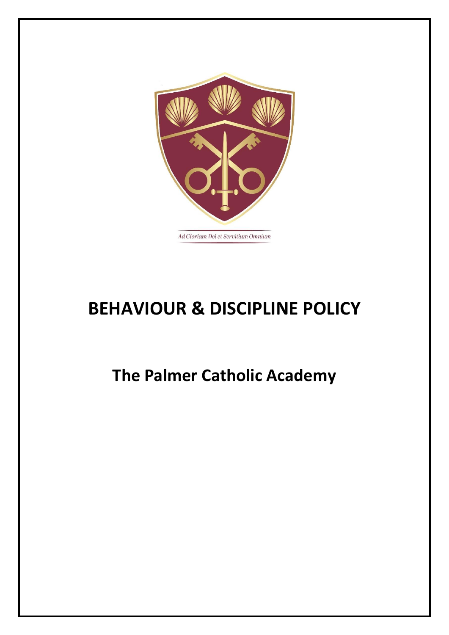

# **BEHAVIOUR & DISCIPLINE POLICY**

# **The Palmer Catholic Academy**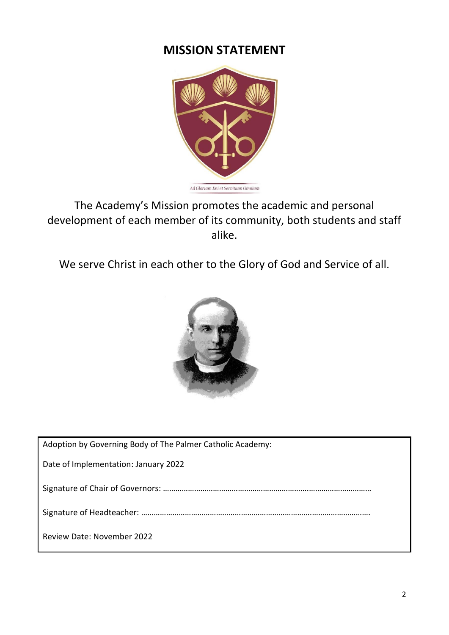# **MISSION STATEMENT**



The Academy's Mission promotes the academic and personal development of each member of its community, both students and staff alike.

We serve Christ in each other to the Glory of God and Service of all.



| Adoption by Governing Body of The Palmer Catholic Academy: |
|------------------------------------------------------------|
| Date of Implementation: January 2022                       |
|                                                            |
|                                                            |
| <b>Review Date: November 2022</b>                          |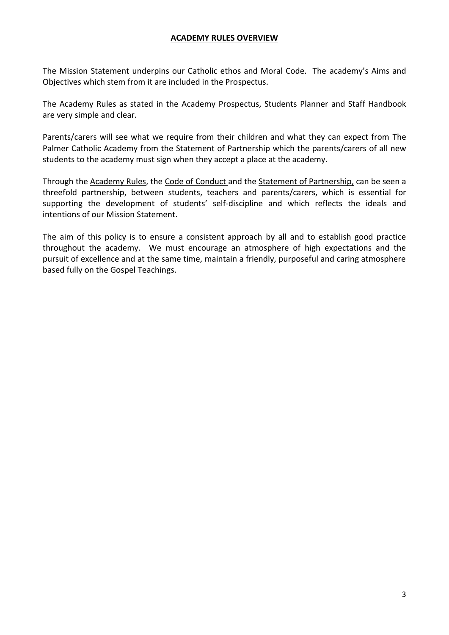#### **ACADEMY RULES OVERVIEW**

The Mission Statement underpins our Catholic ethos and Moral Code. The academy's Aims and Objectives which stem from it are included in the Prospectus.

The Academy Rules as stated in the Academy Prospectus, Students Planner and Staff Handbook are very simple and clear.

Parents/carers will see what we require from their children and what they can expect from The Palmer Catholic Academy from the Statement of Partnership which the parents/carers of all new students to the academy must sign when they accept a place at the academy.

Through the Academy Rules, the Code of Conduct and the Statement of Partnership, can be seen a threefold partnership, between students, teachers and parents/carers, which is essential for supporting the development of students' self-discipline and which reflects the ideals and intentions of our Mission Statement.

The aim of this policy is to ensure a consistent approach by all and to establish good practice throughout the academy. We must encourage an atmosphere of high expectations and the pursuit of excellence and at the same time, maintain a friendly, purposeful and caring atmosphere based fully on the Gospel Teachings.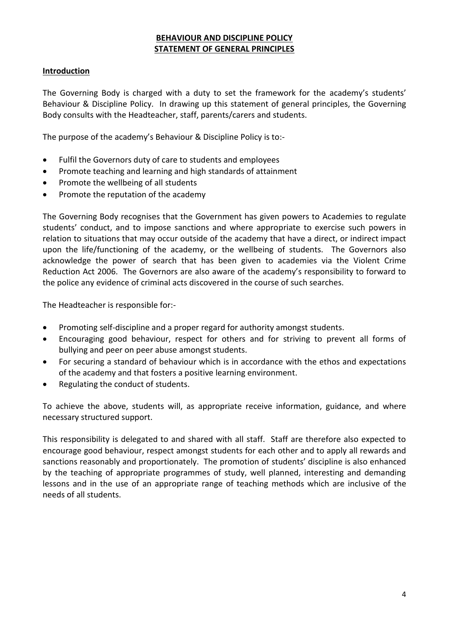# **BEHAVIOUR AND DISCIPLINE POLICY STATEMENT OF GENERAL PRINCIPLES**

# **Introduction**

The Governing Body is charged with a duty to set the framework for the academy's students' Behaviour & Discipline Policy. In drawing up this statement of general principles, the Governing Body consults with the Headteacher, staff, parents/carers and students.

The purpose of the academy's Behaviour & Discipline Policy is to:-

- Fulfil the Governors duty of care to students and employees
- Promote teaching and learning and high standards of attainment
- Promote the wellbeing of all students
- Promote the reputation of the academy

The Governing Body recognises that the Government has given powers to Academies to regulate students' conduct, and to impose sanctions and where appropriate to exercise such powers in relation to situations that may occur outside of the academy that have a direct, or indirect impact upon the life/functioning of the academy, or the wellbeing of students. The Governors also acknowledge the power of search that has been given to academies via the Violent Crime Reduction Act 2006. The Governors are also aware of the academy's responsibility to forward to the police any evidence of criminal acts discovered in the course of such searches.

The Headteacher is responsible for:-

- Promoting self-discipline and a proper regard for authority amongst students.
- Encouraging good behaviour, respect for others and for striving to prevent all forms of bullying and peer on peer abuse amongst students.
- For securing a standard of behaviour which is in accordance with the ethos and expectations of the academy and that fosters a positive learning environment.
- Regulating the conduct of students.

To achieve the above, students will, as appropriate receive information, guidance, and where necessary structured support.

This responsibility is delegated to and shared with all staff. Staff are therefore also expected to encourage good behaviour, respect amongst students for each other and to apply all rewards and sanctions reasonably and proportionately. The promotion of students' discipline is also enhanced by the teaching of appropriate programmes of study, well planned, interesting and demanding lessons and in the use of an appropriate range of teaching methods which are inclusive of the needs of all students.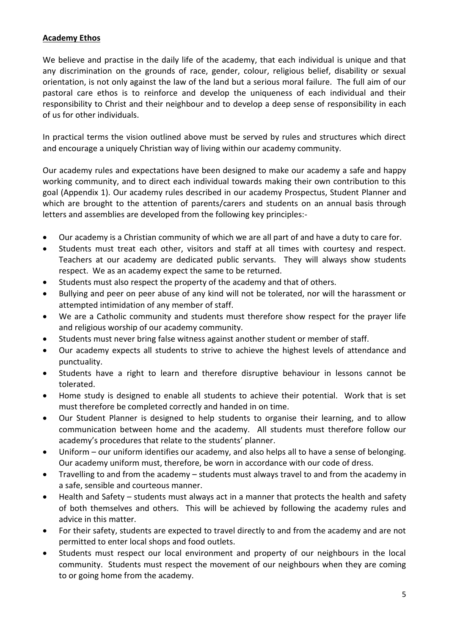# **Academy Ethos**

We believe and practise in the daily life of the academy, that each individual is unique and that any discrimination on the grounds of race, gender, colour, religious belief, disability or sexual orientation, is not only against the law of the land but a serious moral failure. The full aim of our pastoral care ethos is to reinforce and develop the uniqueness of each individual and their responsibility to Christ and their neighbour and to develop a deep sense of responsibility in each of us for other individuals.

In practical terms the vision outlined above must be served by rules and structures which direct and encourage a uniquely Christian way of living within our academy community.

Our academy rules and expectations have been designed to make our academy a safe and happy working community, and to direct each individual towards making their own contribution to this goal (Appendix 1). Our academy rules described in our academy Prospectus, Student Planner and which are brought to the attention of parents/carers and students on an annual basis through letters and assemblies are developed from the following key principles:-

- Our academy is a Christian community of which we are all part of and have a duty to care for.
- Students must treat each other, visitors and staff at all times with courtesy and respect. Teachers at our academy are dedicated public servants. They will always show students respect. We as an academy expect the same to be returned.
- Students must also respect the property of the academy and that of others.
- Bullying and peer on peer abuse of any kind will not be tolerated, nor will the harassment or attempted intimidation of any member of staff.
- We are a Catholic community and students must therefore show respect for the prayer life and religious worship of our academy community.
- Students must never bring false witness against another student or member of staff.
- Our academy expects all students to strive to achieve the highest levels of attendance and punctuality.
- Students have a right to learn and therefore disruptive behaviour in lessons cannot be tolerated.
- Home study is designed to enable all students to achieve their potential. Work that is set must therefore be completed correctly and handed in on time.
- Our Student Planner is designed to help students to organise their learning, and to allow communication between home and the academy. All students must therefore follow our academy's procedures that relate to the students' planner.
- Uniform our uniform identifies our academy, and also helps all to have a sense of belonging. Our academy uniform must, therefore, be worn in accordance with our code of dress.
- Travelling to and from the academy students must always travel to and from the academy in a safe, sensible and courteous manner.
- Health and Safety students must always act in a manner that protects the health and safety of both themselves and others. This will be achieved by following the academy rules and advice in this matter.
- For their safety, students are expected to travel directly to and from the academy and are not permitted to enter local shops and food outlets.
- Students must respect our local environment and property of our neighbours in the local community. Students must respect the movement of our neighbours when they are coming to or going home from the academy.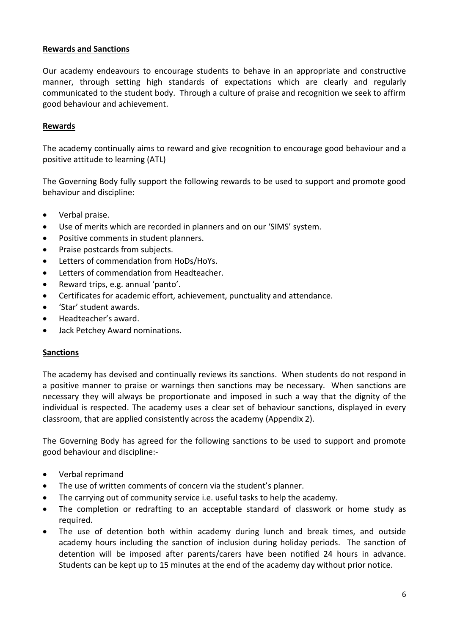# **Rewards and Sanctions**

Our academy endeavours to encourage students to behave in an appropriate and constructive manner, through setting high standards of expectations which are clearly and regularly communicated to the student body. Through a culture of praise and recognition we seek to affirm good behaviour and achievement.

#### **Rewards**

The academy continually aims to reward and give recognition to encourage good behaviour and a positive attitude to learning (ATL)

The Governing Body fully support the following rewards to be used to support and promote good behaviour and discipline:

- Verbal praise.
- Use of merits which are recorded in planners and on our 'SIMS' system.
- Positive comments in student planners.
- Praise postcards from subjects.
- Letters of commendation from HoDs/HoYs.
- Letters of commendation from Headteacher.
- Reward trips, e.g. annual 'panto'.
- Certificates for academic effort, achievement, punctuality and attendance.
- 'Star' student awards.
- Headteacher's award.
- Jack Petchey Award nominations.

#### **Sanctions**

The academy has devised and continually reviews its sanctions. When students do not respond in a positive manner to praise or warnings then sanctions may be necessary. When sanctions are necessary they will always be proportionate and imposed in such a way that the dignity of the individual is respected. The academy uses a clear set of behaviour sanctions, displayed in every classroom, that are applied consistently across the academy (Appendix 2).

The Governing Body has agreed for the following sanctions to be used to support and promote good behaviour and discipline:-

- Verbal reprimand
- The use of written comments of concern via the student's planner.
- The carrying out of community service i.e. useful tasks to help the academy.
- The completion or redrafting to an acceptable standard of classwork or home study as required.
- The use of detention both within academy during lunch and break times, and outside academy hours including the sanction of inclusion during holiday periods. The sanction of detention will be imposed after parents/carers have been notified 24 hours in advance. Students can be kept up to 15 minutes at the end of the academy day without prior notice.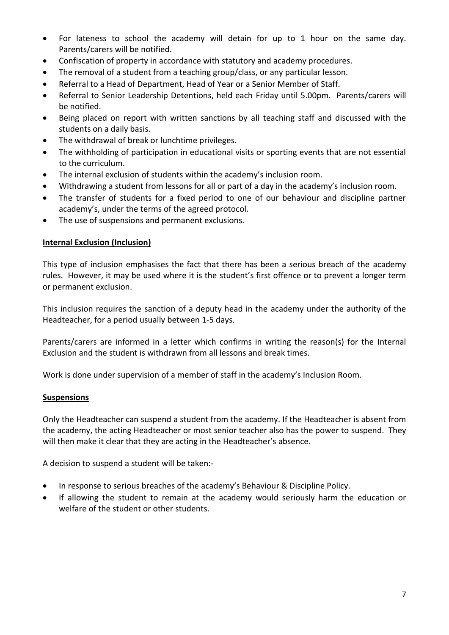- For lateness to school the academy will detain for up to 1 hour on the same day. Parents/carers will be notified.
- Confiscation of property in accordance with statutory and academy procedures.
- The removal of a student from a teaching group/class, or any particular lesson.
- Referral to a Head of Department, Head of Year or a Senior Member of Staff.
- Referral to Senior Leadership Detentions, held each Friday until 5.00pm. Parents/carers will be notified.
- Being placed on report with written sanctions by all teaching staff and discussed with the students on a daily basis.
- The withdrawal of break or lunchtime privileges.
- The withholding of participation in educational visits or sporting events that are not essential to the curriculum.
- The internal exclusion of students within the academy's inclusion room.
- Withdrawing a student from lessons for all or part of a day in the academy's inclusion room.
- The transfer of students for a fixed period to one of our behaviour and discipline partner academy's, under the terms of the agreed protocol.
- The use of suspensions and permanent exclusions.

# **Internal Exclusion (Inclusion)**

This type of inclusion emphasises the fact that there has been a serious breach of the academy rules. However, it may be used where it is the student's first offence or to prevent a longer term or permanent exclusion.

This inclusion requires the sanction of a deputy head in the academy under the authority of the Headteacher, for a period usually between 1-5 days.

Parents/carers are informed in a letter which confirms in writing the reason(s) for the Internal Exclusion and the student is withdrawn from all lessons and break times.

Work is done under supervision of a member of staff in the academy's Inclusion Room.

#### **Suspensions**

Only the Headteacher can suspend a student from the academy. If the Headteacher is absent from the academy, the acting Headteacher or most senior teacher also has the power to suspend. They will then make it clear that they are acting in the Headteacher's absence.

A decision to suspend a student will be taken:-

- In response to serious breaches of the academy's Behaviour & Discipline Policy.
- If allowing the student to remain at the academy would seriously harm the education or welfare of the student or other students.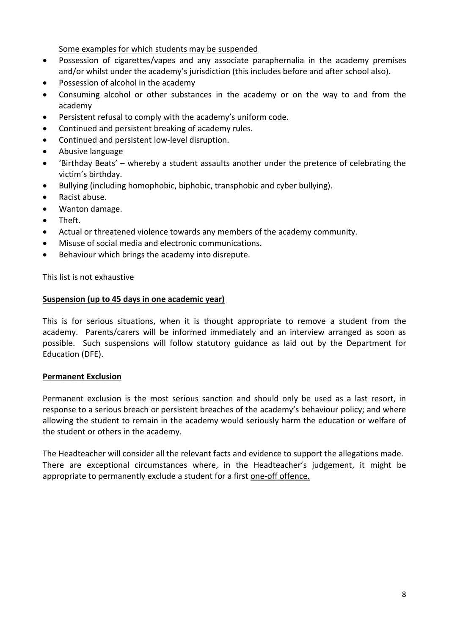Some examples for which students may be suspended

- Possession of cigarettes/vapes and any associate paraphernalia in the academy premises and/or whilst under the academy's jurisdiction (this includes before and after school also).
- Possession of alcohol in the academy
- Consuming alcohol or other substances in the academy or on the way to and from the academy
- Persistent refusal to comply with the academy's uniform code.
- Continued and persistent breaking of academy rules.
- Continued and persistent low-level disruption.
- Abusive language
- 'Birthday Beats' whereby a student assaults another under the pretence of celebrating the victim's birthday.
- Bullying (including homophobic, biphobic, transphobic and cyber bullying).
- Racist abuse.
- Wanton damage.
- Theft.
- Actual or threatened violence towards any members of the academy community.
- Misuse of social media and electronic communications.
- Behaviour which brings the academy into disrepute.

This list is not exhaustive

#### **Suspension (up to 45 days in one academic year)**

This is for serious situations, when it is thought appropriate to remove a student from the academy. Parents/carers will be informed immediately and an interview arranged as soon as possible. Such suspensions will follow statutory guidance as laid out by the Department for Education (DFE).

#### **Permanent Exclusion**

Permanent exclusion is the most serious sanction and should only be used as a last resort, in response to a serious breach or persistent breaches of the academy's behaviour policy; and where allowing the student to remain in the academy would seriously harm the education or welfare of the student or others in the academy.

The Headteacher will consider all the relevant facts and evidence to support the allegations made. There are exceptional circumstances where, in the Headteacher's judgement, it might be appropriate to permanently exclude a student for a first one-off offence.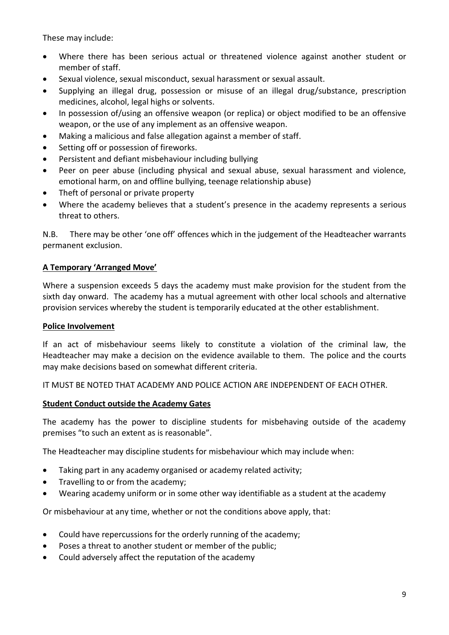These may include:

- Where there has been serious actual or threatened violence against another student or member of staff.
- Sexual violence, sexual misconduct, sexual harassment or sexual assault.
- Supplying an illegal drug, possession or misuse of an illegal drug/substance, prescription medicines, alcohol, legal highs or solvents.
- In possession of/using an offensive weapon (or replica) or object modified to be an offensive weapon, or the use of any implement as an offensive weapon.
- Making a malicious and false allegation against a member of staff.
- Setting off or possession of fireworks.
- Persistent and defiant misbehaviour including bullying
- Peer on peer abuse (including physical and sexual abuse, sexual harassment and violence, emotional harm, on and offline bullying, teenage relationship abuse)
- Theft of personal or private property
- Where the academy believes that a student's presence in the academy represents a serious threat to others.

N.B. There may be other 'one off' offences which in the judgement of the Headteacher warrants permanent exclusion.

# **A Temporary 'Arranged Move'**

Where a suspension exceeds 5 days the academy must make provision for the student from the sixth day onward. The academy has a mutual agreement with other local schools and alternative provision services whereby the student is temporarily educated at the other establishment.

#### **Police Involvement**

If an act of misbehaviour seems likely to constitute a violation of the criminal law, the Headteacher may make a decision on the evidence available to them. The police and the courts may make decisions based on somewhat different criteria.

IT MUST BE NOTED THAT ACADEMY AND POLICE ACTION ARE INDEPENDENT OF EACH OTHER.

#### **Student Conduct outside the Academy Gates**

The academy has the power to discipline students for misbehaving outside of the academy premises "to such an extent as is reasonable".

The Headteacher may discipline students for misbehaviour which may include when:

- Taking part in any academy organised or academy related activity;
- Travelling to or from the academy;
- Wearing academy uniform or in some other way identifiable as a student at the academy

Or misbehaviour at any time, whether or not the conditions above apply, that:

- Could have repercussions for the orderly running of the academy;
- Poses a threat to another student or member of the public;
- Could adversely affect the reputation of the academy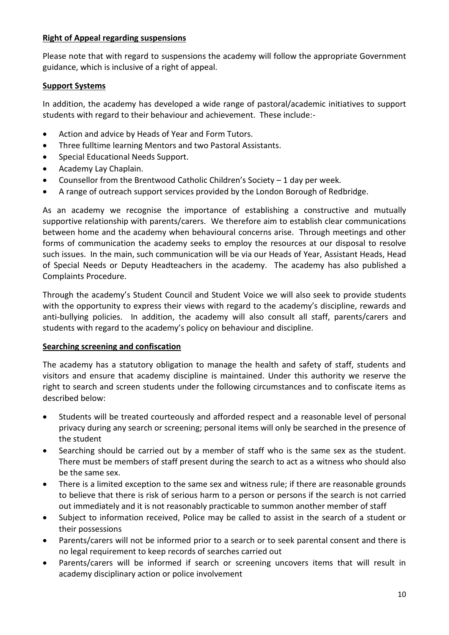# **Right of Appeal regarding suspensions**

Please note that with regard to suspensions the academy will follow the appropriate Government guidance, which is inclusive of a right of appeal.

#### **Support Systems**

In addition, the academy has developed a wide range of pastoral/academic initiatives to support students with regard to their behaviour and achievement. These include:-

- Action and advice by Heads of Year and Form Tutors.
- Three fulltime learning Mentors and two Pastoral Assistants.
- Special Educational Needs Support.
- Academy Lay Chaplain.
- Counsellor from the Brentwood Catholic Children's Society 1 day per week.
- A range of outreach support services provided by the London Borough of Redbridge.

As an academy we recognise the importance of establishing a constructive and mutually supportive relationship with parents/carers. We therefore aim to establish clear communications between home and the academy when behavioural concerns arise. Through meetings and other forms of communication the academy seeks to employ the resources at our disposal to resolve such issues. In the main, such communication will be via our Heads of Year, Assistant Heads, Head of Special Needs or Deputy Headteachers in the academy. The academy has also published a Complaints Procedure.

Through the academy's Student Council and Student Voice we will also seek to provide students with the opportunity to express their views with regard to the academy's discipline, rewards and anti-bullying policies. In addition, the academy will also consult all staff, parents/carers and students with regard to the academy's policy on behaviour and discipline.

# **Searching screening and confiscation**

The academy has a statutory obligation to manage the health and safety of staff, students and visitors and ensure that academy discipline is maintained. Under this authority we reserve the right to search and screen students under the following circumstances and to confiscate items as described below:

- Students will be treated courteously and afforded respect and a reasonable level of personal privacy during any search or screening; personal items will only be searched in the presence of the student
- Searching should be carried out by a member of staff who is the same sex as the student. There must be members of staff present during the search to act as a witness who should also be the same sex.
- There is a limited exception to the same sex and witness rule; if there are reasonable grounds to believe that there is risk of serious harm to a person or persons if the search is not carried out immediately and it is not reasonably practicable to summon another member of staff
- Subject to information received, Police may be called to assist in the search of a student or their possessions
- Parents/carers will not be informed prior to a search or to seek parental consent and there is no legal requirement to keep records of searches carried out
- Parents/carers will be informed if search or screening uncovers items that will result in academy disciplinary action or police involvement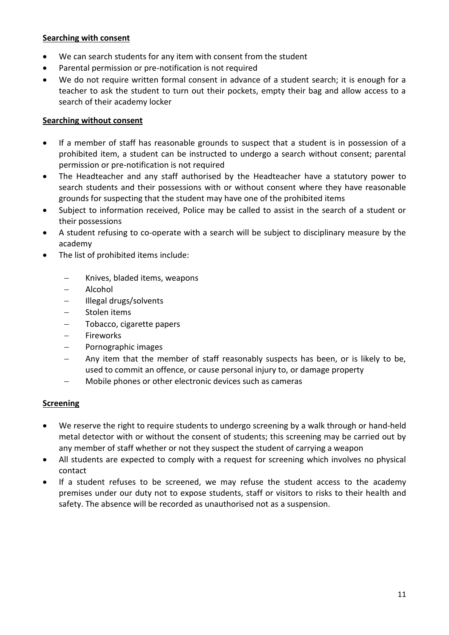#### **Searching with consent**

- We can search students for any item with consent from the student
- Parental permission or pre-notification is not required
- We do not require written formal consent in advance of a student search; it is enough for a teacher to ask the student to turn out their pockets, empty their bag and allow access to a search of their academy locker

#### **Searching without consent**

- If a member of staff has reasonable grounds to suspect that a student is in possession of a prohibited item, a student can be instructed to undergo a search without consent; parental permission or pre-notification is not required
- The Headteacher and any staff authorised by the Headteacher have a statutory power to search students and their possessions with or without consent where they have reasonable grounds for suspecting that the student may have one of the prohibited items
- Subject to information received, Police may be called to assist in the search of a student or their possessions
- A student refusing to co-operate with a search will be subject to disciplinary measure by the academy
- The list of prohibited items include:
	- − Knives, bladed items, weapons
	- − Alcohol
	- − Illegal drugs/solvents
	- − Stolen items
	- − Tobacco, cigarette papers
	- − Fireworks
	- − Pornographic images
	- Any item that the member of staff reasonably suspects has been, or is likely to be, used to commit an offence, or cause personal injury to, or damage property
	- − Mobile phones or other electronic devices such as cameras

# **Screening**

- We reserve the right to require students to undergo screening by a walk through or hand-held metal detector with or without the consent of students; this screening may be carried out by any member of staff whether or not they suspect the student of carrying a weapon
- All students are expected to comply with a request for screening which involves no physical contact
- If a student refuses to be screened, we may refuse the student access to the academy premises under our duty not to expose students, staff or visitors to risks to their health and safety. The absence will be recorded as unauthorised not as a suspension.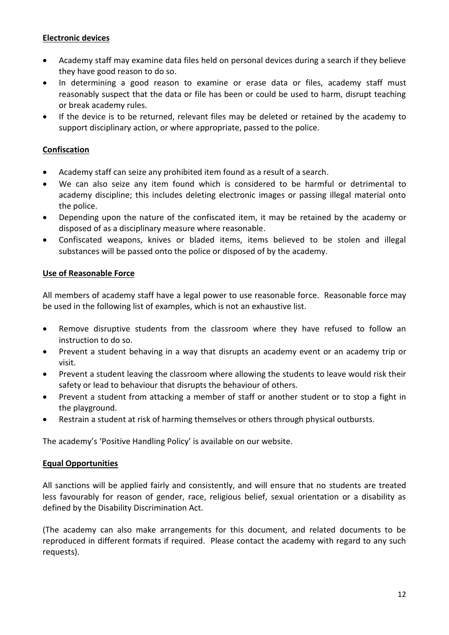# **Electronic devices**

- Academy staff may examine data files held on personal devices during a search if they believe they have good reason to do so.
- In determining a good reason to examine or erase data or files, academy staff must reasonably suspect that the data or file has been or could be used to harm, disrupt teaching or break academy rules.
- If the device is to be returned, relevant files may be deleted or retained by the academy to support disciplinary action, or where appropriate, passed to the police.

# **Confiscation**

- Academy staff can seize any prohibited item found as a result of a search.
- We can also seize any item found which is considered to be harmful or detrimental to academy discipline; this includes deleting electronic images or passing illegal material onto the police.
- Depending upon the nature of the confiscated item, it may be retained by the academy or disposed of as a disciplinary measure where reasonable.
- Confiscated weapons, knives or bladed items, items believed to be stolen and illegal substances will be passed onto the police or disposed of by the academy.

#### **Use of Reasonable Force**

All members of academy staff have a legal power to use reasonable force. Reasonable force may be used in the following list of examples, which is not an exhaustive list.

- Remove disruptive students from the classroom where they have refused to follow an instruction to do so.
- Prevent a student behaving in a way that disrupts an academy event or an academy trip or visit.
- Prevent a student leaving the classroom where allowing the students to leave would risk their safety or lead to behaviour that disrupts the behaviour of others.
- Prevent a student from attacking a member of staff or another student or to stop a fight in the playground.
- Restrain a student at risk of harming themselves or others through physical outbursts.

The academy's 'Positive Handling Policy' is available on our website.

#### **Equal Opportunities**

All sanctions will be applied fairly and consistently, and will ensure that no students are treated less favourably for reason of gender, race, religious belief, sexual orientation or a disability as defined by the Disability Discrimination Act.

(The academy can also make arrangements for this document, and related documents to be reproduced in different formats if required. Please contact the academy with regard to any such requests).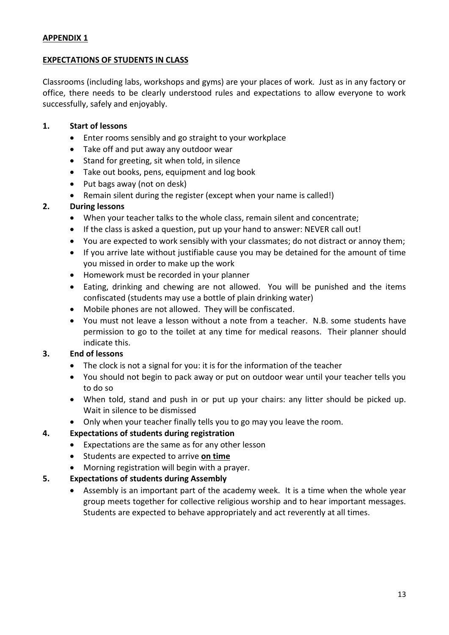# **APPENDIX 1**

#### **EXPECTATIONS OF STUDENTS IN CLASS**

Classrooms (including labs, workshops and gyms) are your places of work. Just as in any factory or office, there needs to be clearly understood rules and expectations to allow everyone to work successfully, safely and enjoyably.

#### **1. Start of lessons**

- Enter rooms sensibly and go straight to your workplace
- Take off and put away any outdoor wear
- Stand for greeting, sit when told, in silence
- Take out books, pens, equipment and log book
- Put bags away (not on desk)
- Remain silent during the register (except when your name is called!)

# **2. During lessons**

- When your teacher talks to the whole class, remain silent and concentrate;
- If the class is asked a question, put up your hand to answer: NEVER call out!
- You are expected to work sensibly with your classmates; do not distract or annoy them;
- If you arrive late without justifiable cause you may be detained for the amount of time you missed in order to make up the work
- Homework must be recorded in your planner
- Eating, drinking and chewing are not allowed. You will be punished and the items confiscated (students may use a bottle of plain drinking water)
- Mobile phones are not allowed. They will be confiscated.
- You must not leave a lesson without a note from a teacher. N.B. some students have permission to go to the toilet at any time for medical reasons. Their planner should indicate this.

# **3. End of lessons**

- The clock is not a signal for you: it is for the information of the teacher
- You should not begin to pack away or put on outdoor wear until your teacher tells you to do so
- When told, stand and push in or put up your chairs: any litter should be picked up. Wait in silence to be dismissed
- Only when your teacher finally tells you to go may you leave the room.

# **4. Expectations of students during registration**

- Expectations are the same as for any other lesson
- Students are expected to arrive **on time**
- Morning registration will begin with a prayer.

# **5. Expectations of students during Assembly**

• Assembly is an important part of the academy week. It is a time when the whole year group meets together for collective religious worship and to hear important messages. Students are expected to behave appropriately and act reverently at all times.